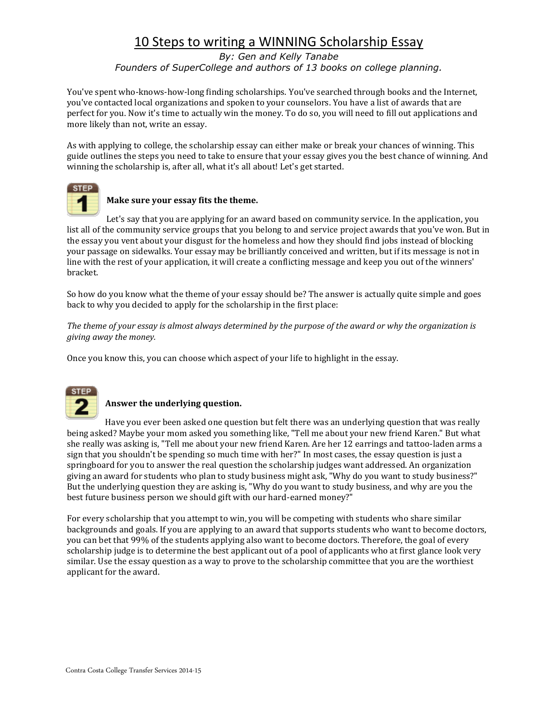*By: Gen and Kelly Tanabe Founders of SuperCollege and authors of 13 books on college planning.*

You've spent who-knows-how-long finding scholarships. You've searched through books and the Internet, you've contacted local organizations and spoken to your counselors. You have a list of awards that are perfect for you. Now it's time to actually win the money. To do so, you will need to fill out applications and more likely than not, write an essay.

As with applying to college, the scholarship essay can either make or break your chances of winning. This guide outlines the steps you need to take to ensure that your essay gives you the best chance of winning. And winning the scholarship is, after all, what it's all about! Let's get started.



### **Make sure your essay fits the theme.**

Let's say that you are applying for an award based on community service. In the application, you list all of the community service groups that you belong to and service project awards that you've won. But in the essay you vent about your disgust for the homeless and how they should find jobs instead of blocking your passage on sidewalks. Your essay may be brilliantly conceived and written, but if its message is not in line with the rest of your application, it will create a conflicting message and keep you out of the winners' bracket.

So how do you know what the theme of your essay should be? The answer is actually quite simple and goes back to why you decided to apply for the scholarship in the first place:

*The theme of your essay is almost always determined by the purpose of the award or why the organization is giving away the money.*

Once you know this, you can choose which aspect of your life to highlight in the essay.



### **Answer the underlying question.**

Have you ever been asked one question but felt there was an underlying question that was really being asked? Maybe your mom asked you something like, "Tell me about your new friend Karen." But what she really was asking is, "Tell me about your new friend Karen. Are her 12 earrings and tattoo-laden arms a sign that you shouldn't be spending so much time with her?" In most cases, the essay question is just a springboard for you to answer the real question the scholarship judges want addressed. An organization giving an award for students who plan to study business might ask, "Why do you want to study business?" But the underlying question they are asking is, "Why do you want to study business, and why are you the best future business person we should gift with our hard-earned money?"

For every scholarship that you attempt to win, you will be competing with students who share similar backgrounds and goals. If you are applying to an award that supports students who want to become doctors, you can bet that 99% of the students applying also want to become doctors. Therefore, the goal of every scholarship judge is to determine the best applicant out of a pool of applicants who at first glance look very similar. Use the essay question as a way to prove to the scholarship committee that you are the worthiest applicant for the award.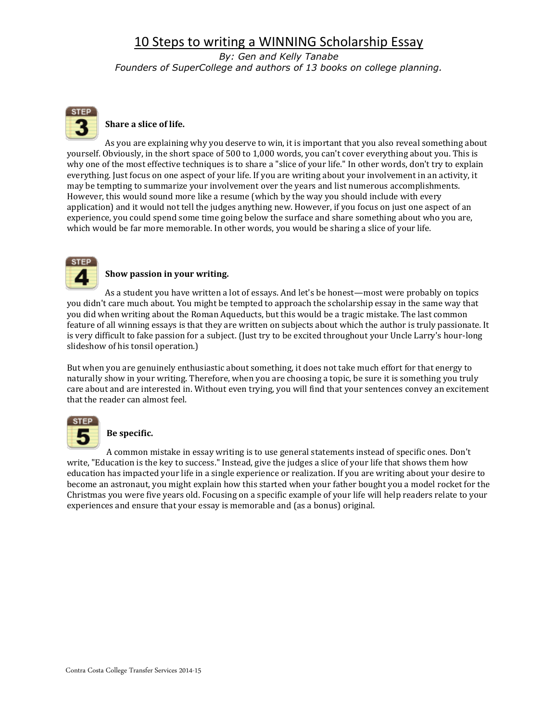*By: Gen and Kelly Tanabe Founders of SuperCollege and authors of 13 books on college planning.*



## **Share a slice of life.**

As you are explaining why you deserve to win, it is important that you also reveal something about yourself. Obviously, in the short space of 500 to 1,000 words, you can't cover everything about you. This is why one of the most effective techniques is to share a "slice of your life." In other words, don't try to explain everything. Just focus on one aspect of your life. If you are writing about your involvement in an activity, it may be tempting to summarize your involvement over the years and list numerous accomplishments. However, this would sound more like a resume (which by the way you should include with every application) and it would not tell the judges anything new. However, if you focus on just one aspect of an experience, you could spend some time going below the surface and share something about who you are, which would be far more memorable. In other words, you would be sharing a slice of your life.



#### **Show passion in your writing.**

As a student you have written a lot of essays. And let's be honest—most were probably on topics you didn't care much about. You might be tempted to approach the scholarship essay in the same way that you did when writing about the Roman Aqueducts, but this would be a tragic mistake. The last common feature of all winning essays is that they are written on subjects about which the author is truly passionate. It is very difficult to fake passion for a subject. (Just try to be excited throughout your Uncle Larry's hour-long slideshow of his tonsil operation.)

But when you are genuinely enthusiastic about something, it does not take much effort for that energy to naturally show in your writing. Therefore, when you are choosing a topic, be sure it is something you truly care about and are interested in. Without even trying, you will find that your sentences convey an excitement that the reader can almost feel.



### **Be specific.**

A common mistake in essay writing is to use general statements instead of specific ones. Don't write, "Education is the key to success." Instead, give the judges a slice of your life that shows them how education has impacted your life in a single experience or realization. If you are writing about your desire to become an astronaut, you might explain how this started when your father bought you a model rocket for the Christmas you were five years old. Focusing on a specific example of your life will help readers relate to your experiences and ensure that your essay is memorable and (as a bonus) original.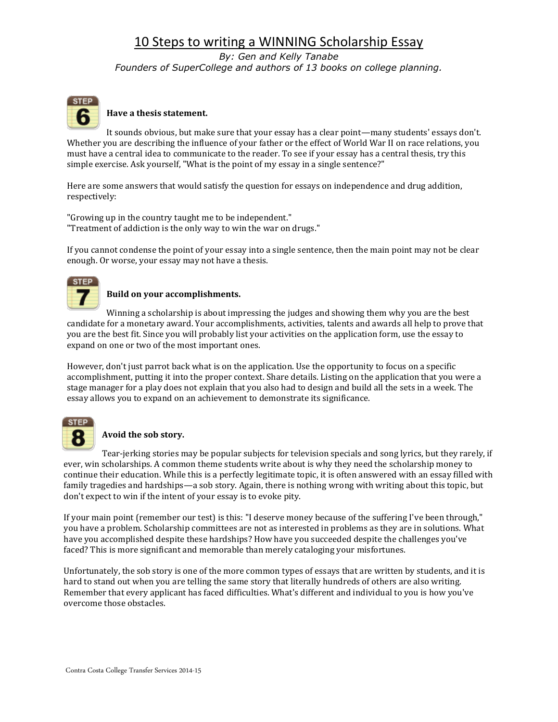*By: Gen and Kelly Tanabe Founders of SuperCollege and authors of 13 books on college planning.*



### **Have a thesis statement.**

It sounds obvious, but make sure that your essay has a clear point—many students' essays don't. Whether you are describing the influence of your father or the effect of World War II on race relations, you must have a central idea to communicate to the reader. To see if your essay has a central thesis, try this simple exercise. Ask yourself, "What is the point of my essay in a single sentence?"

Here are some answers that would satisfy the question for essays on independence and drug addition, respectively:

"Growing up in the country taught me to be independent." "Treatment of addiction is the only way to win the war on drugs."

If you cannot condense the point of your essay into a single sentence, then the main point may not be clear enough. Or worse, your essay may not have a thesis.



#### **Build on your accomplishments.**

Winning a scholarship is about impressing the judges and showing them why you are the best candidate for a monetary award. Your accomplishments, activities, talents and awards all help to prove that you are the best fit. Since you will probably list your activities on the application form, use the essay to expand on one or two of the most important ones.

However, don't just parrot back what is on the application. Use the opportunity to focus on a specific accomplishment, putting it into the proper context. Share details. Listing on the application that you were a stage manager for a play does not explain that you also had to design and build all the sets in a week. The essay allows you to expand on an achievement to demonstrate its significance.



### **Avoid the sob story.**

Tear-jerking stories may be popular subjects for television specials and song lyrics, but they rarely, if ever, win scholarships. A common theme students write about is why they need the scholarship money to continue their education. While this is a perfectly legitimate topic, it is often answered with an essay filled with family tragedies and hardships—a sob story. Again, there is nothing wrong with writing about this topic, but don't expect to win if the intent of your essay is to evoke pity.

If your main point (remember our test) is this: "I deserve money because of the suffering I've been through," you have a problem. Scholarship committees are not as interested in problems as they are in solutions. What have you accomplished despite these hardships? How have you succeeded despite the challenges you've faced? This is more significant and memorable than merely cataloging your misfortunes.

Unfortunately, the sob story is one of the more common types of essays that are written by students, and it is hard to stand out when you are telling the same story that literally hundreds of others are also writing. Remember that every applicant has faced difficulties. What's different and individual to you is how you've overcome those obstacles.